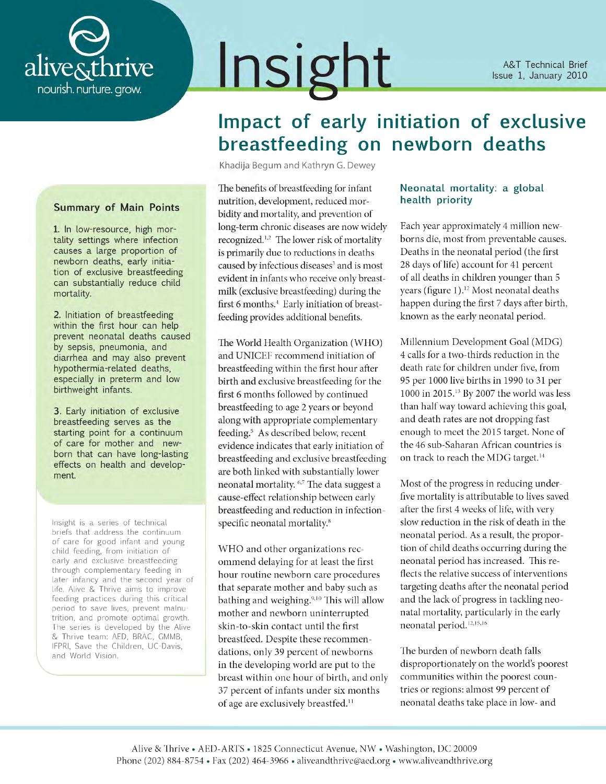

#### **A&T** Technical Brief Issue 1, January 2010

# Impact of early initiation of exclusive breastfeeding on newborn deaths

Khadija Begum and Kathryn G. Dewey

Insight

The benefits of breastfeeding for infant nutrition, development, reduced morbidity and mortality, and prevention of long-term chronic diseases are now widely recognized.<sup>1,2</sup> The lower risk of mortality is primarily due to reductions in deaths caused by infectious diseases<sup>3</sup> and is most evident in infants who receive only breastmilk (exclusive breastfeeding) during the first 6 months.<sup>4</sup> Early initiation of breastfeeding provides additional benefits.

The World Health Organization (WHO) and UNICEF recommend initiation of breastfeeding within the first hour after birth and exclusive breastfeeding for the first 6 months followed by continued breastfeeding to age 2 years or beyond along with appropriate complementary feeding.<sup>5</sup> As described below, recent evidence indicates that early initiation of breastfeeding and exclusive breastfeeding are both linked with substantially lower neonatal mortality. <sup>6,7</sup> The data suggest a cause-effect relationship between early breastfeeding and reduction in infectionspecific neonatal mortality.<sup>8</sup>

WHO and other organizations recommend delaying for at least the first hour routine newborn care procedures that separate mother and baby such as bathing and weighing.<sup>9,10</sup> This will allow mother and newborn uninterrupted skin-to-skin contact until the first breastfeed. Despite these recommendations, only 39 percent of newborns in the developing world are put to the breast within one hour of birth, and only 37 percent of infants under six months of age are exclusively breastfed.<sup>11</sup>

#### Neonatal mortality: a global health priority

Each year approximately 4 million newborns die, most from preventable causes. Deaths in the neonatal period (the first 28 days of life) account for 41 percent of all deaths in children younger than 5 years (figure 1).<sup>12</sup> Most neonatal deaths happen during the first 7 days after birth, known as the early neonatal period.

Millennium Development Goal (MDG) 4 calls for a two-thirds reduction in the death rate for children under five, from 95 per 1000 live births in 1990 to 31 per 1000 in 2015.<sup>13</sup> By 2007 the world was less than half way toward achieving this goal, and death rates are not dropping fast enough to meet the 2015 target. None of the 46 sub-Saharan African countries is on track to reach the MDG target.<sup>14</sup>

Most of the progress in reducing underfive mortality is attributable to lives saved after the first 4 weeks of life, with very slow reduction in the risk of death in the neonatal period. As a result, the proportion of child deaths occurring during the neonatal period has increased. This reflects the relative success of interventions targeting deaths after the neonatal period and the lack of progress in tackling neonatal mortality, particularly in the early neonatal period.<sup>12,15,16</sup>

The burden of newborn death falls disproportionately on the world's poorest communities within the poorest countries or regions: almost 99 percent of neonatal deaths take place in low- and

## **Summary of Main Points**

1. In low-resource, high mortality settings where infection causes a large proportion of newborn deaths, early initiation of exclusive breastfeeding can substantially reduce child mortality.

2. Initiation of breastfeeding within the first hour can help prevent neonatal deaths caused by sepsis, pneumonia, and diarrhea and may also prevent hypothermia-related deaths, especially in preterm and low birthweight infants.

3. Early initiation of exclusive breastfeeding serves as the starting point for a continuum of care for mother and newborn that can have long-lasting effects on health and development.

Insight is a series of technical briefs that address the continuum of care for good infant and young child feeding, from initiation of early and exclusive breastfeeding through complementary feeding in later infancy and the second year of life. Alive & Thrive aims to improve feeding practices during this critical period to save lives, prevent malnutrition, and promote optimal growth. The series is developed by the Alive & Thrive team: AED, BRAC, GMMB, IFPRI, Save the Children, UC-Davis, and World Vision.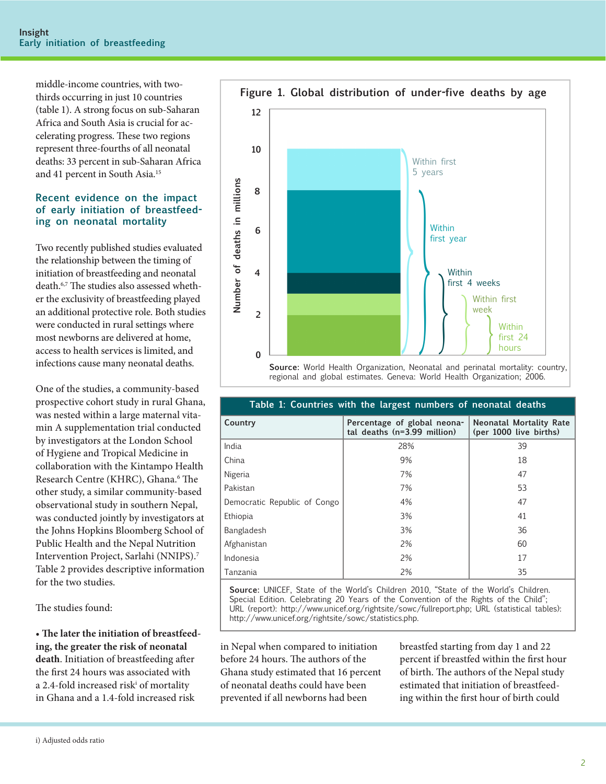middle-income countries, with twothirds occurring in just 10 countries (table 1). A strong focus on sub-Saharan Africa and South Asia is crucial for accelerating progress. These two regions represent three-fourths of all neonatal deaths: 33 percent in sub-Saharan Africa and 41 percent in South Asia.15

#### **Recent evidence on the impact of early initiation of breastfeeding on neonatal mortality**

Two recently published studies evaluated the relationship between the timing of initiation of breastfeeding and neonatal death.6,7 The studies also assessed whether the exclusivity of breastfeeding played an additional protective role. Both studies were conducted in rural settings where most newborns are delivered at home, access to health services is limited, and infections cause many neonatal deaths.

One of the studies, a community-based prospective cohort study in rural Ghana, was nested within a large maternal vitamin A supplementation trial conducted by investigators at the London School of Hygiene and Tropical Medicine in collaboration with the Kintampo Health Research Centre (KHRC), Ghana.<sup>6</sup> The other study, a similar community-based observational study in southern Nepal, was conducted jointly by investigators at the Johns Hopkins Bloomberg School of Public Health and the Nepal Nutrition Intervention Project, Sarlahi (NNIPS).7 Table 2 provides descriptive information for the two studies.

The studies found:

• **The later the initiation of breastfeeding, the greater the risk of neonatal death**. Initiation of breastfeeding after the first 24 hours was associated with a 2.4-fold increased risk<sup>i</sup> of mortality in Ghana and a 1.4-fold increased risk



regional and global estimates. Geneva: World Health Organization; 2006.

| Table 1: Countries with the largest numbers of neonatal deaths |                                                              |                                                          |  |  |  |  |  |
|----------------------------------------------------------------|--------------------------------------------------------------|----------------------------------------------------------|--|--|--|--|--|
| Country                                                        | Percentage of global neona-<br>tal deaths $(n=3.99$ million) | <b>Neonatal Mortality Rate</b><br>(per 1000 live births) |  |  |  |  |  |
| India                                                          | 28%                                                          | 39                                                       |  |  |  |  |  |
| China                                                          | 9%                                                           | 18                                                       |  |  |  |  |  |
| Nigeria                                                        | 7%                                                           | 47                                                       |  |  |  |  |  |
| Pakistan                                                       | 7%                                                           | 53                                                       |  |  |  |  |  |
| Democratic Republic of Congo                                   | 4%                                                           | 47                                                       |  |  |  |  |  |
| Ethiopia                                                       | 3%                                                           | 41                                                       |  |  |  |  |  |
| Bangladesh                                                     | 3%                                                           | 36                                                       |  |  |  |  |  |
| Afghanistan                                                    | 2%                                                           | 60                                                       |  |  |  |  |  |
| Indonesia                                                      | 2%                                                           | 17                                                       |  |  |  |  |  |
| Tanzania                                                       | 2%                                                           | 35                                                       |  |  |  |  |  |

**Source:** UNICEF, State of the World's Children 2010, "State of the World's Children. Special Edition. Celebrating 20 Years of the Convention of the Rights of the Child"; URL (report): http://www.unicef.org/rightsite/sowc/fullreport.php; URL (statistical tables): http://www.unicef.org/rightsite/sowc/statistics.php.

in Nepal when compared to initiation before 24 hours. The authors of the Ghana study estimated that 16 percent of neonatal deaths could have been prevented if all newborns had been

breastfed starting from day 1 and 22 percent if breastfed within the first hour of birth. The authors of the Nepal study estimated that initiation of breastfeeding within the first hour of birth could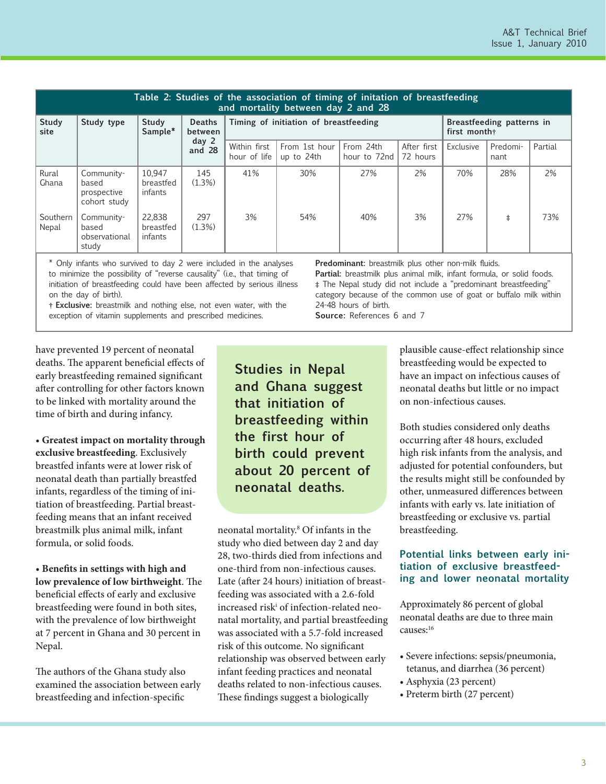| Table 2: Studies of the association of timing of initation of breastfeeding<br>and mortality between day 2 and 28 |                                                    |                                |                                                        |                                       |                             |                           |                                           |           |                  |         |
|-------------------------------------------------------------------------------------------------------------------|----------------------------------------------------|--------------------------------|--------------------------------------------------------|---------------------------------------|-----------------------------|---------------------------|-------------------------------------------|-----------|------------------|---------|
| Study<br>site                                                                                                     | Study type                                         | Study<br>Sample*               | <b>Deaths</b><br>between<br>day <sub>2</sub><br>and 28 | Timing of initiation of breastfeeding |                             |                           | Breastfeeding patterns in<br>first month+ |           |                  |         |
|                                                                                                                   |                                                    |                                |                                                        | Within first<br>hour of life          | From 1st hour<br>up to 24th | From 24th<br>hour to 72nd | After first<br>72 hours                   | Exclusive | Predomi-<br>nant | Partial |
| Rural<br>Ghana                                                                                                    | Community-<br>based<br>prospective<br>cohort study | 10.947<br>breastfed<br>infants | 145<br>(1.3%)                                          | 41%                                   | 30%                         | 27%                       | 2%                                        | 70%       | 28%              | 2%      |
| Southern<br>Nepal                                                                                                 | Community-<br>based<br>observational<br>study      | 22.838<br>breastfed<br>infants | 297<br>(1.3%)                                          | 3%                                    | 54%                         | 40%                       | 3%                                        | 27%       | $\ddagger$       | 73%     |

\* Only infants who survived to day 2 were included in the analyses to minimize the possibility of "reverse causality" (i.e., that timing of initiation of breastfeeding could have been affected by serious illness on the day of birth).

**† Exclusive:** breastmilk and nothing else, not even water, with the exception of vitamin supplements and prescribed medicines.

**Predominant:** breastmilk plus other non-milk fluids.

Partial: breastmilk plus animal milk, infant formula, or solid foods. **‡** The Nepal study did not include a "predominant breastfeeding" category because of the common use of goat or buffalo milk within 24-48 hours of birth.

**Source:** References 6 and 7

have prevented 19 percent of neonatal deaths. The apparent beneficial effects of early breastfeeding remained significant after controlling for other factors known to be linked with mortality around the time of birth and during infancy.

• **Greatest impact on mortality through exclusive breastfeeding**. Exclusively breastfed infants were at lower risk of neonatal death than partially breastfed infants, regardless of the timing of initiation of breastfeeding. Partial breastfeeding means that an infant received breastmilk plus animal milk, infant formula, or solid foods.

• **Benefits in settings with high and low prevalence of low birthweight**. The beneficial effects of early and exclusive breastfeeding were found in both sites, with the prevalence of low birthweight at 7 percent in Ghana and 30 percent in Nepal.

The authors of the Ghana study also examined the association between early breastfeeding and infection-specific

**Studies in Nepal and Ghana suggest that initiation of breastfeeding within the first hour of birth could prevent about 20 percent of neonatal deaths.**

neonatal mortality.8 Of infants in the study who died between day 2 and day 28, two-thirds died from infections and one-third from non-infectious causes. Late (after 24 hours) initiation of breastfeeding was associated with a 2.6-fold increased riski of infection-related neonatal mortality, and partial breastfeeding was associated with a 5.7-fold increased risk of this outcome. No significant relationship was observed between early infant feeding practices and neonatal deaths related to non-infectious causes. These findings suggest a biologically

plausible cause-effect relationship since breastfeeding would be expected to have an impact on infectious causes of neonatal deaths but little or no impact on non-infectious causes.

Both studies considered only deaths occurring after 48 hours, excluded high risk infants from the analysis, and adjusted for potential confounders, but the results might still be confounded by other, unmeasured differences between infants with early vs. late initiation of breastfeeding or exclusive vs. partial breastfeeding.

## **Potential links between early initiation of exclusive breastfeeding and lower neonatal mortality**

Approximately 86 percent of global neonatal deaths are due to three main causes:16

- Severe infections: sepsis/pneumonia, tetanus, and diarrhea (36 percent)
- Asphyxia (23 percent)
- Preterm birth (27 percent)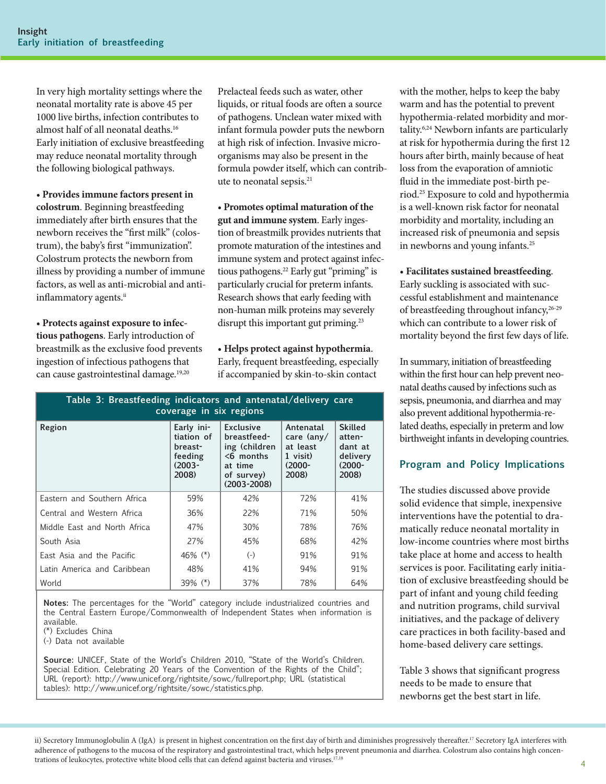In very high mortality settings where the neonatal mortality rate is above 45 per 1000 live births, infection contributes to almost half of all neonatal deaths.16 Early initiation of exclusive breastfeeding may reduce neonatal mortality through the following biological pathways.

• **Provides immune factors present in colostrum**. Beginning breastfeeding immediately after birth ensures that the newborn receives the "first milk" (colostrum), the baby's first "immunization". Colostrum protects the newborn from illness by providing a number of immune factors, as well as anti-microbial and antiinflammatory agents.<sup>ii</sup>

• **Protects against exposure to infectious pathogens**. Early introduction of breastmilk as the exclusive food prevents ingestion of infectious pathogens that can cause gastrointestinal damage.<sup>19,20</sup>

Prelacteal feeds such as water, other liquids, or ritual foods are often a source of pathogens. Unclean water mixed with infant formula powder puts the newborn at high risk of infection. Invasive microorganisms may also be present in the formula powder itself, which can contribute to neonatal sepsis.<sup>21</sup>

• **Promotes optimal maturation of the gut and immune system**. Early ingestion of breastmilk provides nutrients that promote maturation of the intestines and immune system and protect against infectious pathogens.<sup>22</sup> Early gut "priming" is particularly crucial for preterm infants. Research shows that early feeding with non-human milk proteins may severely disrupt this important gut priming.<sup>23</sup>

• **Helps protect against hypothermia**. Early, frequent breastfeeding, especially if accompanied by skin-to-skin contact

| coverage in six regions                                              |                                                                                                              |                                                                                   |                                                                       |  |  |  |  |  |
|----------------------------------------------------------------------|--------------------------------------------------------------------------------------------------------------|-----------------------------------------------------------------------------------|-----------------------------------------------------------------------|--|--|--|--|--|
| Early ini-<br>tiation of<br>breast-<br>feeding<br>$(2003 -$<br>2008) | <b>Exclusive</b><br>breastfeed-<br>ing (children<br>$<$ 6 months<br>at time<br>of survey)<br>$(2003 - 2008)$ | Antenatal<br>care $\langle$ any $/$<br>at least<br>1 visit)<br>$(2000 -$<br>2008) | <b>Skilled</b><br>atten-<br>dant at<br>delivery<br>$(2000 -$<br>2008) |  |  |  |  |  |
| 59%                                                                  | 42%                                                                                                          | 72%                                                                               | 41%                                                                   |  |  |  |  |  |
| 36%                                                                  | 22%                                                                                                          | 71%                                                                               | 50%                                                                   |  |  |  |  |  |
| 47%                                                                  | 30%                                                                                                          | 78%                                                                               | 76%                                                                   |  |  |  |  |  |
| 27%                                                                  | 45%                                                                                                          | 68%                                                                               | 42%                                                                   |  |  |  |  |  |
| 46% $(*)$                                                            | $(-)$                                                                                                        | 91%                                                                               | 91%                                                                   |  |  |  |  |  |
| 48%                                                                  | 41%                                                                                                          | 94%                                                                               | 91%                                                                   |  |  |  |  |  |
| $39\%$ (*)                                                           | 37%                                                                                                          | 78%                                                                               | 64%                                                                   |  |  |  |  |  |
|                                                                      |                                                                                                              |                                                                                   |                                                                       |  |  |  |  |  |

**Table 3: Breastfeeding indicators and antenatal/delivery care** 

**Notes:** The percentages for the "World" category include industrialized countries and the Central Eastern Europe/Commonwealth of Independent States when information is available.

(\*) Excludes China

(-) Data not available

**Source:** UNICEF, State of the World's Children 2010, "State of the World's Children. Special Edition. Celebrating 20 Years of the Convention of the Rights of the Child"; URL (report): http://www.unicef.org/rightsite/sowc/fullreport.php; URL (statistical tables): http://www.unicef.org/rightsite/sowc/statistics.php.

with the mother, helps to keep the baby warm and has the potential to prevent hypothermia-related morbidity and mortality.6,24 Newborn infants are particularly at risk for hypothermia during the first 12 hours after birth, mainly because of heat loss from the evaporation of amniotic fluid in the immediate post-birth period.25 Exposure to cold and hypothermia is a well-known risk factor for neonatal morbidity and mortality, including an increased risk of pneumonia and sepsis in newborns and young infants.<sup>25</sup>

• **Facilitates sustained breastfeeding**.

Early suckling is associated with successful establishment and maintenance of breastfeeding throughout infancy,  $26-29$ which can contribute to a lower risk of mortality beyond the first few days of life.

In summary, initiation of breastfeeding within the first hour can help prevent neonatal deaths caused by infections such as sepsis, pneumonia, and diarrhea and may also prevent additional hypothermia-related deaths, especially in preterm and low birthweight infants in developing countries.

# **Program and Policy Implications**

The studies discussed above provide solid evidence that simple, inexpensive interventions have the potential to dramatically reduce neonatal mortality in low-income countries where most births take place at home and access to health services is poor. Facilitating early initiation of exclusive breastfeeding should be part of infant and young child feeding and nutrition programs, child survival initiatives, and the package of delivery care practices in both facility-based and home-based delivery care settings.

Table 3 shows that significant progress needs to be made to ensure that newborns get the best start in life.

ii) Secretory Immunoglobulin A (IgA) is present in highest concentration on the first day of birth and diminishes progressively thereafter.<sup>17</sup> Secretory IgA interferes with adherence of pathogens to the mucosa of the respiratory and gastrointestinal tract, which helps prevent pneumonia and diarrhea. Colostrum also contains high concentrations of leukocytes, protective white blood cells that can defend against bacteria and viruses.<sup>17,18</sup>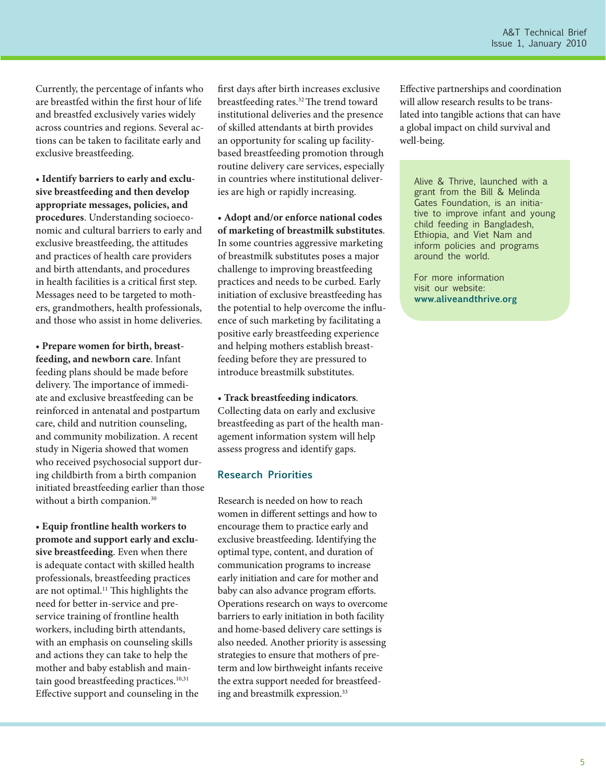Currently, the percentage of infants who are breastfed within the first hour of life and breastfed exclusively varies widely across countries and regions. Several actions can be taken to facilitate early and exclusive breastfeeding.

• **Identify barriers to early and exclusive breastfeeding and then develop appropriate messages, policies, and procedures**. Understanding socioeconomic and cultural barriers to early and exclusive breastfeeding, the attitudes and practices of health care providers and birth attendants, and procedures in health facilities is a critical first step. Messages need to be targeted to mothers, grandmothers, health professionals, and those who assist in home deliveries.

• **Prepare women for birth, breastfeeding, and newborn care**. Infant feeding plans should be made before delivery. The importance of immediate and exclusive breastfeeding can be reinforced in antenatal and postpartum care, child and nutrition counseling, and community mobilization. A recent study in Nigeria showed that women who received psychosocial support during childbirth from a birth companion initiated breastfeeding earlier than those without a birth companion.<sup>30</sup>

• **Equip frontline health workers to promote and support early and exclusive breastfeeding**. Even when there is adequate contact with skilled health professionals, breastfeeding practices are not optimal.<sup>11</sup> This highlights the need for better in-service and preservice training of frontline health workers, including birth attendants, with an emphasis on counseling skills and actions they can take to help the mother and baby establish and maintain good breastfeeding practices.<sup>10,31</sup> Effective support and counseling in the

first days after birth increases exclusive breastfeeding rates.<sup>32</sup> The trend toward institutional deliveries and the presence of skilled attendants at birth provides an opportunity for scaling up facilitybased breastfeeding promotion through routine delivery care services, especially in countries where institutional deliveries are high or rapidly increasing.

• **Adopt and/or enforce national codes of marketing of breastmilk substitutes**. In some countries aggressive marketing of breastmilk substitutes poses a major challenge to improving breastfeeding practices and needs to be curbed. Early initiation of exclusive breastfeeding has the potential to help overcome the influence of such marketing by facilitating a positive early breastfeeding experience and helping mothers establish breastfeeding before they are pressured to introduce breastmilk substitutes.

• **Track breastfeeding indicators**. Collecting data on early and exclusive breastfeeding as part of the health management information system will help assess progress and identify gaps.

#### **Research Priorities**

Research is needed on how to reach women in different settings and how to encourage them to practice early and exclusive breastfeeding. Identifying the optimal type, content, and duration of communication programs to increase early initiation and care for mother and baby can also advance program efforts. Operations research on ways to overcome barriers to early initiation in both facility and home-based delivery care settings is also needed. Another priority is assessing strategies to ensure that mothers of preterm and low birthweight infants receive the extra support needed for breastfeeding and breastmilk expression.33

Effective partnerships and coordination will allow research results to be translated into tangible actions that can have a global impact on child survival and well-being.

Alive & Thrive, launched with a grant from the Bill & Melinda Gates Foundation, is an initiative to improve infant and young child feeding in Bangladesh, Ethiopia, and Viet Nam and inform policies and programs around the world.

For more information visit our website: **www.aliveandthrive.org**